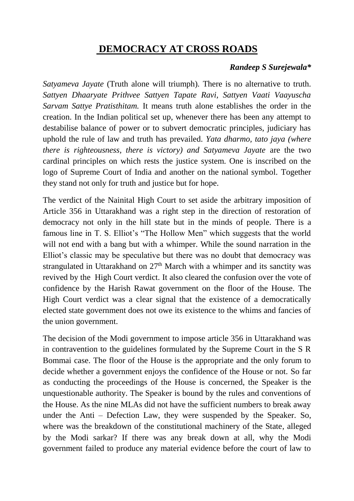## **DEMOCRACY AT CROSS ROADS**

## *Randeep S Surejewala\**

*Satyameva Jayate* (Truth alone will triumph)*.* There is no alternative to truth. *Sattyen Dhaaryate Prithvee Sattyen Tapate Ravi, Sattyen Vaati Vaayuscha Sarvam Sattye Pratisthitam.* It means truth alone establishes the order in the creation. In the Indian political set up, whenever there has been any attempt to destabilise balance of power or to subvert democratic principles, judiciary has uphold the rule of law and truth has prevailed. *Yata dharmo, tato jaya (where there is righteousness, there is victory) and Satyameva Jayate* are the two cardinal principles on which rests the justice system. One is inscribed on the logo of Supreme Court of India and another on the national symbol. Together they stand not only for truth and justice but for hope.

The verdict of the Nainital High Court to set aside the arbitrary imposition of Article 356 in Uttarakhand was a right step in the direction of restoration of democracy not only in the hill state but in the minds of people. There is a famous line in T. S. Elliot's "The Hollow Men" which suggests that the world will not end with a bang but with a whimper. While the sound narration in the Elliot's classic may be speculative but there was no doubt that democracy was strangulated in Uttarakhand on  $27<sup>th</sup>$  March with a whimper and its sanctity was revived by the High Court verdict. It also cleared the confusion over the vote of confidence by the Harish Rawat government on the floor of the House. The High Court verdict was a clear signal that the existence of a democratically elected state government does not owe its existence to the whims and fancies of the union government.

The decision of the Modi government to impose article 356 in Uttarakhand was in contravention to the guidelines formulated by the Supreme Court in the S R Bommai case. The floor of the House is the appropriate and the only forum to decide whether a government enjoys the confidence of the House or not. So far as conducting the proceedings of the House is concerned, the Speaker is the unquestionable authority. The Speaker is bound by the rules and conventions of the House. As the nine MLAs did not have the sufficient numbers to break away under the Anti – Defection Law, they were suspended by the Speaker. So, where was the breakdown of the constitutional machinery of the State, alleged by the Modi sarkar? If there was any break down at all, why the Modi government failed to produce any material evidence before the court of law to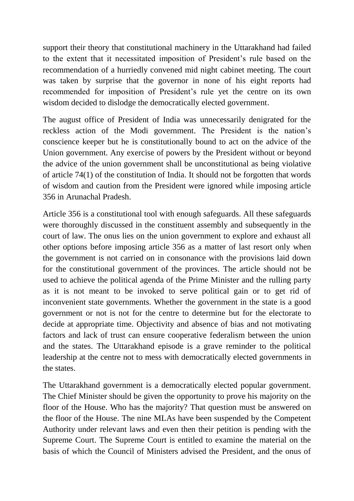support their theory that constitutional machinery in the Uttarakhand had failed to the extent that it necessitated imposition of President's rule based on the recommendation of a hurriedly convened mid night cabinet meeting. The court was taken by surprise that the governor in none of his eight reports had recommended for imposition of President's rule yet the centre on its own wisdom decided to dislodge the democratically elected government.

The august office of President of India was unnecessarily denigrated for the reckless action of the Modi government. The President is the nation's conscience keeper but he is constitutionally bound to act on the advice of the Union government. Any exercise of powers by the President without or beyond the advice of the union government shall be unconstitutional as being violative of article 74(1) of the constitution of India. It should not be forgotten that words of wisdom and caution from the President were ignored while imposing article 356 in Arunachal Pradesh.

Article 356 is a constitutional tool with enough safeguards. All these safeguards were thoroughly discussed in the constituent assembly and subsequently in the court of law. The onus lies on the union government to explore and exhaust all other options before imposing article 356 as a matter of last resort only when the government is not carried on in consonance with the provisions laid down for the constitutional government of the provinces. The article should not be used to achieve the political agenda of the Prime Minister and the rulling party as it is not meant to be invoked to serve political gain or to get rid of inconvenient state governments. Whether the government in the state is a good government or not is not for the centre to determine but for the electorate to decide at appropriate time. Objectivity and absence of bias and not motivating factors and lack of trust can ensure cooperative federalism between the union and the states. The Uttarakhand episode is a grave reminder to the political leadership at the centre not to mess with democratically elected governments in the states.

The Uttarakhand government is a democratically elected popular government. The Chief Minister should be given the opportunity to prove his majority on the floor of the House. Who has the majority? That question must be answered on the floor of the House. The nine MLAs have been suspended by the Competent Authority under relevant laws and even then their petition is pending with the Supreme Court. The Supreme Court is entitled to examine the material on the basis of which the Council of Ministers advised the President, and the onus of